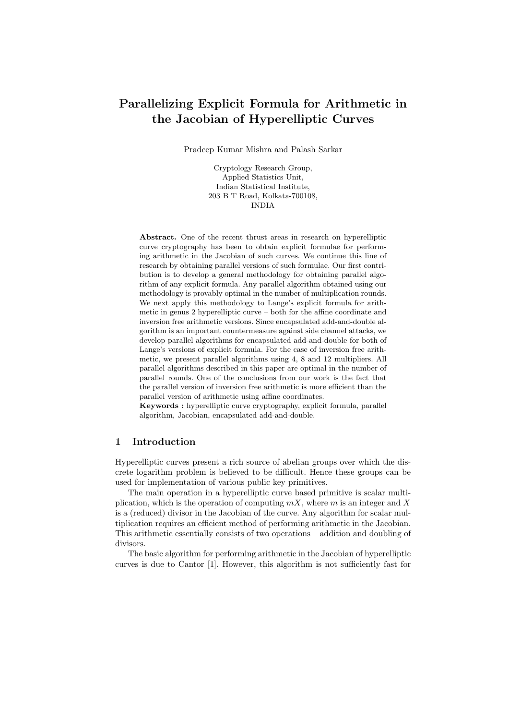# Parallelizing Explicit Formula for Arithmetic in the Jacobian of Hyperelliptic Curves

Pradeep Kumar Mishra and Palash Sarkar

Cryptology Research Group, Applied Statistics Unit, Indian Statistical Institute, 203 B T Road, Kolkata-700108, INDIA

Abstract. One of the recent thrust areas in research on hyperelliptic curve cryptography has been to obtain explicit formulae for performing arithmetic in the Jacobian of such curves. We continue this line of research by obtaining parallel versions of such formulae. Our first contribution is to develop a general methodology for obtaining parallel algorithm of any explicit formula. Any parallel algorithm obtained using our methodology is provably optimal in the number of multiplication rounds. We next apply this methodology to Lange's explicit formula for arithmetic in genus 2 hyperelliptic curve – both for the affine coordinate and inversion free arithmetic versions. Since encapsulated add-and-double algorithm is an important countermeasure against side channel attacks, we develop parallel algorithms for encapsulated add-and-double for both of Lange's versions of explicit formula. For the case of inversion free arithmetic, we present parallel algorithms using 4, 8 and 12 multipliers. All parallel algorithms described in this paper are optimal in the number of parallel rounds. One of the conclusions from our work is the fact that the parallel version of inversion free arithmetic is more efficient than the parallel version of arithmetic using affine coordinates.

Keywords : hyperelliptic curve cryptography, explicit formula, parallel algorithm, Jacobian, encapsulated add-and-double.

# 1 Introduction

Hyperelliptic curves present a rich source of abelian groups over which the discrete logarithm problem is believed to be difficult. Hence these groups can be used for implementation of various public key primitives.

The main operation in a hyperelliptic curve based primitive is scalar multiplication, which is the operation of computing  $mX$ , where m is an integer and X is a (reduced) divisor in the Jacobian of the curve. Any algorithm for scalar multiplication requires an efficient method of performing arithmetic in the Jacobian. This arithmetic essentially consists of two operations – addition and doubling of divisors.

The basic algorithm for performing arithmetic in the Jacobian of hyperelliptic curves is due to Cantor [1]. However, this algorithm is not sufficiently fast for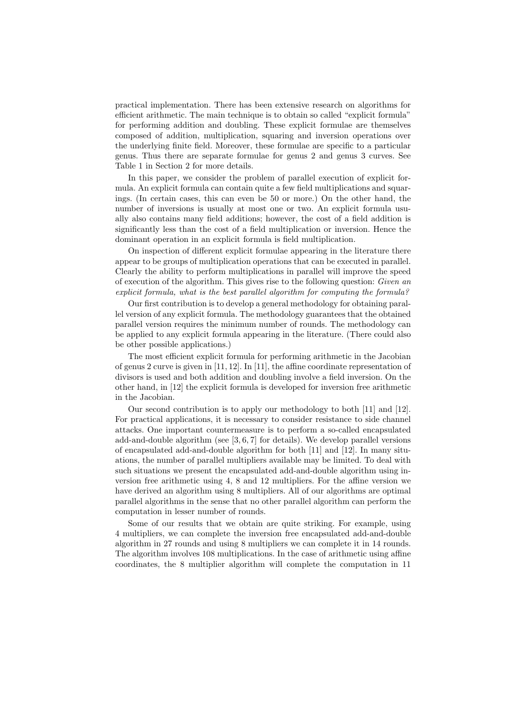practical implementation. There has been extensive research on algorithms for efficient arithmetic. The main technique is to obtain so called "explicit formula" for performing addition and doubling. These explicit formulae are themselves composed of addition, multiplication, squaring and inversion operations over the underlying finite field. Moreover, these formulae are specific to a particular genus. Thus there are separate formulae for genus 2 and genus 3 curves. See Table 1 in Section 2 for more details.

In this paper, we consider the problem of parallel execution of explicit formula. An explicit formula can contain quite a few field multiplications and squarings. (In certain cases, this can even be 50 or more.) On the other hand, the number of inversions is usually at most one or two. An explicit formula usually also contains many field additions; however, the cost of a field addition is significantly less than the cost of a field multiplication or inversion. Hence the dominant operation in an explicit formula is field multiplication.

On inspection of different explicit formulae appearing in the literature there appear to be groups of multiplication operations that can be executed in parallel. Clearly the ability to perform multiplications in parallel will improve the speed of execution of the algorithm. This gives rise to the following question: Given an explicit formula, what is the best parallel algorithm for computing the formula?

Our first contribution is to develop a general methodology for obtaining parallel version of any explicit formula. The methodology guarantees that the obtained parallel version requires the minimum number of rounds. The methodology can be applied to any explicit formula appearing in the literature. (There could also be other possible applications.)

The most efficient explicit formula for performing arithmetic in the Jacobian of genus 2 curve is given in  $[11, 12]$ . In  $[11]$ , the affine coordinate representation of divisors is used and both addition and doubling involve a field inversion. On the other hand, in [12] the explicit formula is developed for inversion free arithmetic in the Jacobian.

Our second contribution is to apply our methodology to both [11] and [12]. For practical applications, it is necessary to consider resistance to side channel attacks. One important countermeasure is to perform a so-called encapsulated add-and-double algorithm (see [3, 6, 7] for details). We develop parallel versions of encapsulated add-and-double algorithm for both [11] and [12]. In many situations, the number of parallel multipliers available may be limited. To deal with such situations we present the encapsulated add-and-double algorithm using inversion free arithmetic using 4, 8 and 12 multipliers. For the affine version we have derived an algorithm using 8 multipliers. All of our algorithms are optimal parallel algorithms in the sense that no other parallel algorithm can perform the computation in lesser number of rounds.

Some of our results that we obtain are quite striking. For example, using 4 multipliers, we can complete the inversion free encapsulated add-and-double algorithm in 27 rounds and using 8 multipliers we can complete it in 14 rounds. The algorithm involves 108 multiplications. In the case of arithmetic using affine coordinates, the 8 multiplier algorithm will complete the computation in 11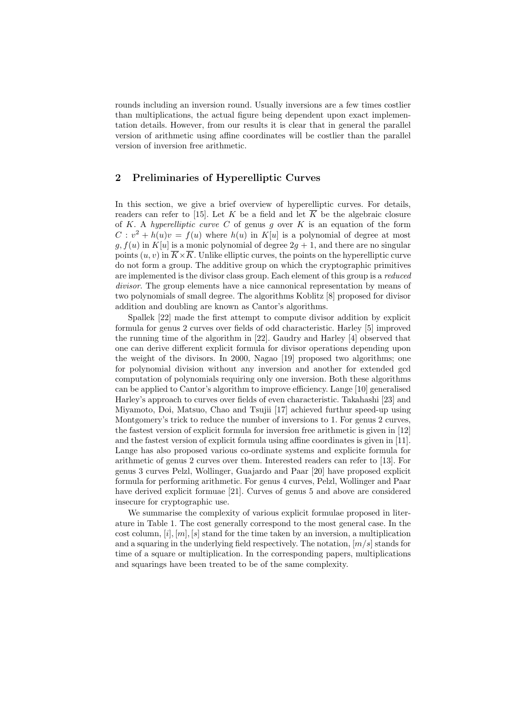rounds including an inversion round. Usually inversions are a few times costlier than multiplications, the actual figure being dependent upon exact implementation details. However, from our results it is clear that in general the parallel version of arithmetic using affine coordinates will be costlier than the parallel version of inversion free arithmetic.

# 2 Preliminaries of Hyperelliptic Curves

In this section, we give a brief overview of hyperelliptic curves. For details, readers can refer to [15]. Let K be a field and let  $\overline{K}$  be the algebraic closure of K. A hyperelliptic curve C of genus g over K is an equation of the form  $C: v^2 + h(u)v = f(u)$  where  $h(u)$  in  $K[u]$  is a polynomial of degree at most  $g, f(u)$  in  $K[u]$  is a monic polynomial of degree  $2g + 1$ , and there are no singular points  $(u, v)$  in  $\overline{K} \times \overline{K}$ . Unlike elliptic curves, the points on the hyperelliptic curve do not form a group. The additive group on which the cryptographic primitives are implemented is the divisor class group. Each element of this group is a reduced divisor. The group elements have a nice cannonical representation by means of two polynomials of small degree. The algorithms Koblitz [8] proposed for divisor addition and doubling are known as Cantor's algorithms.

Spallek [22] made the first attempt to compute divisor addition by explicit formula for genus 2 curves over fields of odd characteristic. Harley [5] improved the running time of the algorithm in [22]. Gaudry and Harley [4] observed that one can derive different explicit formula for divisor operations depending upon the weight of the divisors. In 2000, Nagao [19] proposed two algorithms; one for polynomial division without any inversion and another for extended gcd computation of polynomials requiring only one inversion. Both these algorithms can be applied to Cantor's algorithm to improve efficiency. Lange [10] generalised Harley's approach to curves over fields of even characteristic. Takahashi [23] and Miyamoto, Doi, Matsuo, Chao and Tsujii [17] achieved furthur speed-up using Montgomery's trick to reduce the number of inversions to 1. For genus 2 curves, the fastest version of explicit formula for inversion free arithmetic is given in [12] and the fastest version of explicit formula using affine coordinates is given in [11]. Lange has also proposed various co-ordinate systems and explicite formula for arithmetic of genus 2 curves over them. Interested readers can refer to [13]. For genus 3 curves Pelzl, Wollinger, Guajardo and Paar [20] have proposed explicit formula for performing arithmetic. For genus 4 curves, Pelzl, Wollinger and Paar have derived explicit formuae [21]. Curves of genus 5 and above are considered insecure for cryptographic use.

We summarise the complexity of various explicit formulae proposed in literature in Table 1. The cost generally correspond to the most general case. In the cost column,  $[i], [m], [s]$  stand for the time taken by an inversion, a multiplication and a squaring in the underlying field respectively. The notation,  $[m/s]$  stands for time of a square or multiplication. In the corresponding papers, multiplications and squarings have been treated to be of the same complexity.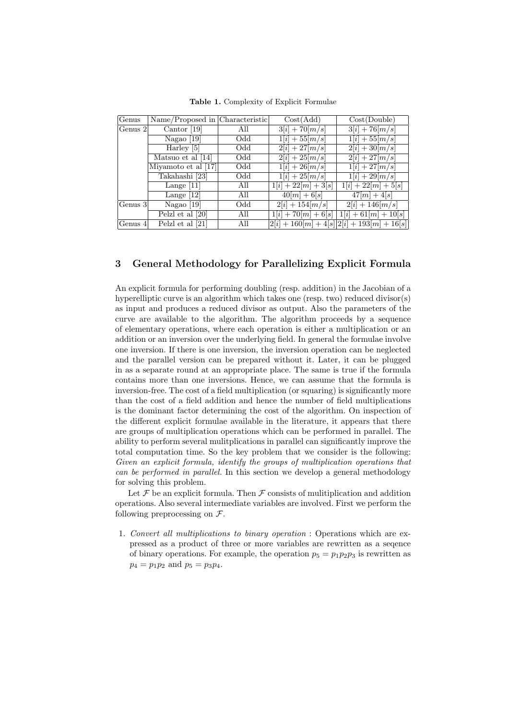| Genus   | Name/Proposed in Characteristic |           | Cost(Add)             | Cost(Double)                                   |  |
|---------|---------------------------------|-----------|-----------------------|------------------------------------------------|--|
| Genus 2 | $\overline{\text{Cantor}}$ [19] | All       | $3[i] + 70[m/s]$      | $3[i] + 76[m/s]$                               |  |
|         | Nagao $[19]$                    | $\rm Odd$ | $1[i] + 55[m/s]$      | $1[i] + 55[m/s]$                               |  |
|         | Harley [5]                      | Odd       | $2[i] + 27[m/s]$      | $2[i] + 30[m/s]$                               |  |
|         | Matsuo et al [14]               | Odd       | $2[i] + 25[m/s]$      | $2[i] + 27[m/s]$                               |  |
|         | Miyamoto et al [17]             | Odd       | $1[i] + 26[m/s]$      | $1[i] + 27[m/s]$                               |  |
|         | Takahashi [23]                  | Odd       | $1[i] + 25[m/s]$      | $1[i] + 29[m/s]$                               |  |
|         | Lange $[11]$                    | All       | $1[i] + 22[m] + 3[s]$ | $1[i] + 22[m] + 5[s]$                          |  |
|         | Lange $[12]$                    | All       | $40[m] + 6[s]$        | $47[m] + 4[s]$                                 |  |
| Genus 3 | Nagao $[19]$                    | $\rm Odd$ | $2[i] + 154[m/s]$     | $2[i] + 146[m/s]$                              |  |
|         | Pelzl et al [20]                | All       | $1[i] + 70[m] + 6[s]$ | $1[i] + 61[m] + 10[s]$                         |  |
| Genus 4 | Pelzl et al [21]                | All       |                       | $ 2[i] + 160[m] + 4[s] 2[i] + 193[m] + 16[s] $ |  |

Table 1. Complexity of Explicit Formulae

# 3 General Methodology for Parallelizing Explicit Formula

An explicit formula for performing doubling (resp. addition) in the Jacobian of a hyperelliptic curve is an algorithm which takes one (resp. two) reduced divisor(s) as input and produces a reduced divisor as output. Also the parameters of the curve are available to the algorithm. The algorithm proceeds by a sequence of elementary operations, where each operation is either a multiplication or an addition or an inversion over the underlying field. In general the formulae involve one inversion. If there is one inversion, the inversion operation can be neglected and the parallel version can be prepared without it. Later, it can be plugged in as a separate round at an appropriate place. The same is true if the formula contains more than one inversions. Hence, we can assume that the formula is inversion-free. The cost of a field multiplication (or squaring) is significantly more than the cost of a field addition and hence the number of field multiplications is the dominant factor determining the cost of the algorithm. On inspection of the different explicit formulae available in the literature, it appears that there are groups of multiplication operations which can be performed in parallel. The ability to perform several mulitplications in parallel can significantly improve the total computation time. So the key problem that we consider is the following: Given an explicit formula, identify the groups of multiplication operations that can be performed in parallel. In this section we develop a general methodology for solving this problem.

Let  $\mathcal F$  be an explicit formula. Then  $\mathcal F$  consists of mulitiplication and addition operations. Also several intermediate variables are involved. First we perform the following preprocessing on  $\mathcal{F}$ .

1. Convert all multiplications to binary operation : Operations which are expressed as a product of three or more variables are rewritten as a seqence of binary operations. For example, the operation  $p_5 = p_1p_2p_3$  is rewritten as  $p_4 = p_1p_2$  and  $p_5 = p_3p_4$ .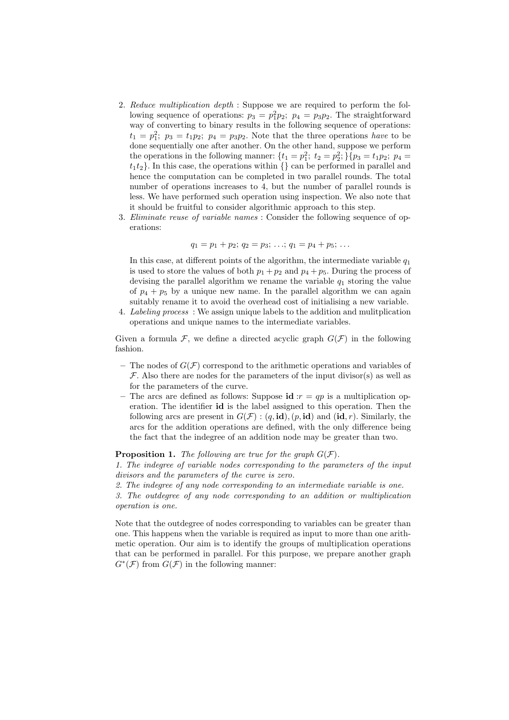- 2. Reduce multiplication depth : Suppose we are required to perform the following sequence of operations:  $p_3 = p_1^2 p_2$ ;  $p_4 = p_3 p_2$ . The straightforward way of converting to binary results in the following sequence of operations:  $t_1 = p_1^2$ ;  $p_3 = t_1 p_2$ ;  $p_4 = p_3 p_2$ . Note that the three operations have to be done sequentially one after another. On the other hand, suppose we perform the operations in the following manner:  $\{t_1 = p_1^2; t_2 = p_2^2; \} \{p_3 = t_1p_2; p_4 = p_5^2\}$  $t_1t_2$ . In this case, the operations within  $\{\}\$ can be performed in parallel and hence the computation can be completed in two parallel rounds. The total number of operations increases to 4, but the number of parallel rounds is less. We have performed such operation using inspection. We also note that it should be fruitful to consider algorithmic approach to this step.
- 3. Eliminate reuse of variable names : Consider the following sequence of operations:

$$
q_1 = p_1 + p_2; \, q_2 = p_3; \, \ldots; \, q_1 = p_4 + p_5; \, \ldots
$$

In this case, at different points of the algorithm, the intermediate variable  $q_1$ is used to store the values of both  $p_1 + p_2$  and  $p_4 + p_5$ . During the process of devising the parallel algorithm we rename the variable  $q_1$  storing the value of  $p_4 + p_5$  by a unique new name. In the parallel algorithm we can again suitably rename it to avoid the overhead cost of initialising a new variable.

4. Labeling process : We assign unique labels to the addition and mulitplication operations and unique names to the intermediate variables.

Given a formula  $\mathcal F$ , we define a directed acyclic graph  $G(\mathcal F)$  in the following fashion.

- The nodes of  $G(\mathcal{F})$  correspond to the arithmetic operations and variables of  $\mathcal F$ . Also there are nodes for the parameters of the input divisor(s) as well as for the parameters of the curve.
- The arcs are defined as follows: Suppose **id**  $:r = qp$  is a multiplication operation. The identifier id is the label assigned to this operation. Then the following arcs are present in  $G(\mathcal{F})$ :  $(q, id)$ ,  $(p, id)$  and  $(id, r)$ . Similarly, the arcs for the addition operations are defined, with the only difference being the fact that the indegree of an addition node may be greater than two.

# **Proposition 1.** The following are true for the graph  $G(\mathcal{F})$ .

1. The indegree of variable nodes corresponding to the parameters of the input divisors and the parameters of the curve is zero.

2. The indegree of any node corresponding to an intermediate variable is one.

3. The outdegree of any node corresponding to an addition or multiplication operation is one.

Note that the outdegree of nodes corresponding to variables can be greater than one. This happens when the variable is required as input to more than one arithmetic operation. Our aim is to identify the groups of multiplication operations that can be performed in parallel. For this purpose, we prepare another graph  $G^*(\mathcal{F})$  from  $G(\mathcal{F})$  in the following manner: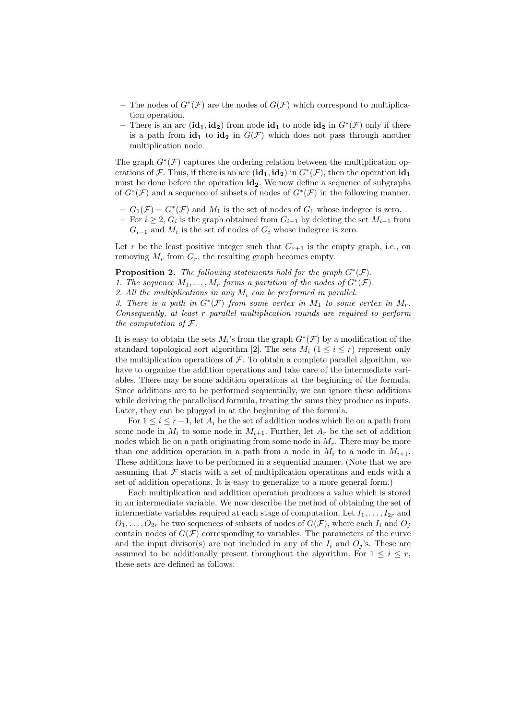- The nodes of  $G^*(\mathcal{F})$  are the nodes of  $G(\mathcal{F})$  which correspond to multiplication operation.
- There is an arc  $(id_1, id_2)$  from node  $id_1$  to node  $id_2$  in  $G^*(\mathcal{F})$  only if there is a path from  $id_1$  to  $id_2$  in  $G(\mathcal{F})$  which does not pass through another multiplication node.

The graph  $G^*(\mathcal{F})$  captures the ordering relation between the multiplication operations of F. Thus, if there is an arc  $(\mathbf{id}_1, \mathbf{id}_2)$  in  $G^*(\mathcal{F})$ , then the operation  $\mathbf{id}_1$ must be done before the operation  $id_2$ . We now define a sequence of subgraphs of  $G^*(\mathcal{F})$  and a sequence of subsets of nodes of  $G^*(\mathcal{F})$  in the following manner.

- $-G_1(\mathcal{F}) = G^*(\mathcal{F})$  and  $M_1$  is the set of nodes of  $G_1$  whose indegree is zero.
- $-$  For  $i \geq 2$ ,  $G_i$  is the graph obtained from  $G_{i-1}$  by deleting the set  $M_{i-1}$  from  $G_{i-1}$  and  $M_i$  is the set of nodes of  $G_i$  whose indegree is zero.

Let r be the least positive integer such that  $G_{r+1}$  is the empty graph, i.e., on removing  $M_r$  from  $G_r$ , the resulting graph becomes empty.

**Proposition 2.** The following statements hold for the graph  $G^*(\mathcal{F})$ .

1. The sequence  $M_1, \ldots, M_r$  forms a partition of the nodes of  $G^*(\mathcal{F})$ .

2. All the multiplications in any  $M_i$  can be performed in parallel.

3. There is a path in  $G^*(\mathcal{F})$  from some vertex in  $M_1$  to some vertex in  $M_r$ . Consequently, at least r parallel multiplication rounds are required to perform the computation of F.

It is easy to obtain the sets  $M_i$ 's from the graph  $G^*(\mathcal{F})$  by a modification of the standard topological sort algorithm [2]. The sets  $M_i$  ( $1 \leq i \leq r$ ) represent only the multiplication operations of  $F$ . To obtain a complete parallel algorithm, we have to organize the addition operations and take care of the intermediate variables. There may be some addition operations at the beginning of the formula. Since additions are to be performed sequentially, we can ignore these additions while deriving the parallelised formula, treating the sums they produce as inputs. Later, they can be plugged in at the beginning of the formula.

For  $1 \leq i \leq r-1$ , let  $A_i$  be the set of addition nodes which lie on a path from some node in  $M_i$  to some node in  $M_{i+1}$ . Further, let  $A_r$  be the set of addition nodes which lie on a path originating from some node in  $M_r$ . There may be more than one addition operation in a path from a node in  $M_i$  to a node in  $M_{i+1}$ . These additions have to be performed in a sequential manner. (Note that we are assuming that  $\mathcal F$  starts with a set of multiplication operations and ends with a set of addition operations. It is easy to generalize to a more general form.)

Each multiplication and addition operation produces a value which is stored in an intermediate variable. We now describe the method of obtaining the set of intermediate variables required at each stage of computation. Let  $I_1, \ldots, I_{2r}$  and  $O_1, \ldots, O_{2r}$  be two sequences of subsets of nodes of  $G(\mathcal{F})$ , where each  $I_i$  and  $O_j$ contain nodes of  $G(\mathcal{F})$  corresponding to variables. The parameters of the curve and the input divisor(s) are not included in any of the  $I_i$  and  $O_j$ 's. These are assumed to be additionally present throughout the algorithm. For  $1 \leq i \leq r$ , these sets are defined as follows: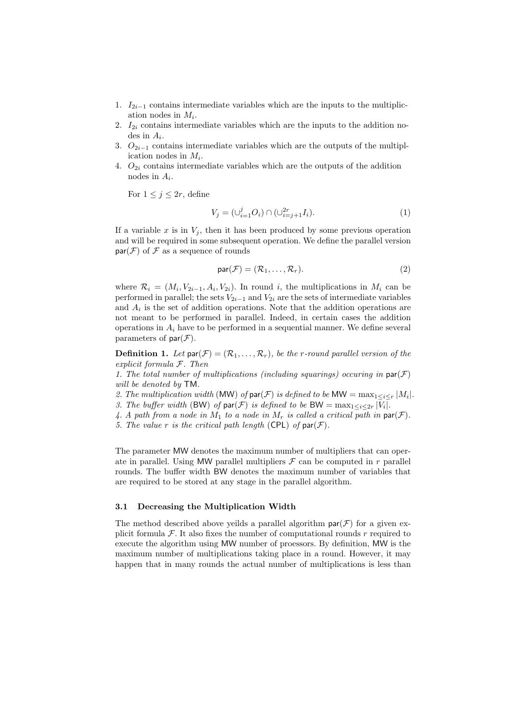- 1.  $I_{2i-1}$  contains intermediate variables which are the inputs to the multiplication nodes in  $M_i$ .
- 2.  $I_{2i}$  contains intermediate variables which are the inputs to the addition nodes in  $A_i$ .
- 3.  $O_{2i-1}$  contains intermediate variables which are the outputs of the multiplication nodes in  $M_i$ .
- 4.  $O_{2i}$  contains intermediate variables which are the outputs of the addition nodes in  $A_i$ .

For  $1 \leq j \leq 2r$ , define

$$
V_j = (\cup_{i=1}^j O_i) \cap (\cup_{i=j+1}^{2r} I_i). \tag{1}
$$

If a variable x is in  $V_j$ , then it has been produced by some previous operation and will be required in some subsequent operation. We define the parallel version  $\textsf{par}(\mathcal{F})$  of  $\mathcal F$  as a sequence of rounds

$$
\mathsf{par}(\mathcal{F}) = (\mathcal{R}_1, \dots, \mathcal{R}_r). \tag{2}
$$

where  $\mathcal{R}_i = (M_i, V_{2i-1}, A_i, V_{2i})$ . In round i, the multiplications in  $M_i$  can be performed in parallel; the sets  $V_{2i-1}$  and  $V_{2i}$  are the sets of intermediate variables and  $A_i$  is the set of addition operations. Note that the addition operations are not meant to be performed in parallel. Indeed, in certain cases the addition operations in  $A_i$  have to be performed in a sequential manner. We define several parameters of  $\text{par}(\mathcal{F})$ .

**Definition 1.** Let  $\text{par}(\mathcal{F}) = (\mathcal{R}_1, \ldots, \mathcal{R}_r)$ , be the r-round parallel version of the explicit formula F. Then

1. The total number of multiplications (including squarings) occuring in  $\text{par}(\mathcal{F})$ will be denoted by TM.

- 2. The multiplication width (MW) of par( $\mathcal F$ ) is defined to be MW =  $\max_{1 \leq i \leq r} |M_i|$ .
- 3. The buffer width (BW) of  $\mathsf{par}(\mathcal{F})$  is defined to be BW =  $\max_{1 \leq i \leq 2r} |V_i|$ .
- 4. A path from a node in  $M_1$  to a node in  $M_r$  is called a critical path in  $\text{par}(\mathcal{F})$ .
- 5. The value r is the critical path length (CPL) of  $\text{par}(\mathcal{F})$ .

The parameter MW denotes the maximum number of multipliers that can operate in parallel. Using MW parallel multipliers  $\mathcal F$  can be computed in r parallel rounds. The buffer width BW denotes the maximum number of variables that are required to be stored at any stage in the parallel algorithm.

#### 3.1 Decreasing the Multiplication Width

The method described above yeilds a parallel algorithm  $\text{par}(\mathcal{F})$  for a given explicit formula  $\mathcal F$ . It also fixes the number of computational rounds r required to execute the algorithm using MW number of proessors. By definition, MW is the maximum number of multiplications taking place in a round. However, it may happen that in many rounds the actual number of multiplications is less than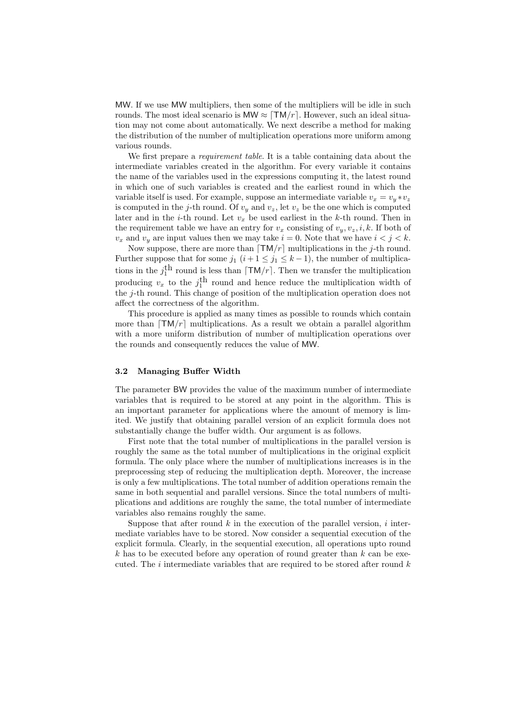MW. If we use MW multipliers, then some of the multipliers will be idle in such rounds. The most ideal scenario is MW  $\approx$  [TM/r]. However, such an ideal situation may not come about automatically. We next describe a method for making the distribution of the number of multiplication operations more uniform among various rounds.

We first prepare a *requirement table*. It is a table containing data about the intermediate variables created in the algorithm. For every variable it contains the name of the variables used in the expressions computing it, the latest round in which one of such variables is created and the earliest round in which the variable itself is used. For example, suppose an intermediate variable  $v_x = v_y * v_z$ is computed in the j-th round. Of  $v_y$  and  $v_z$ , let  $v_z$  be the one which is computed later and in the *i*-th round. Let  $v_x$  be used earliest in the *k*-th round. Then in the requirement table we have an entry for  $v_x$  consisting of  $v_y, v_z, i, k$ . If both of  $v_x$  and  $v_y$  are input values then we may take  $i = 0$ . Note that we have  $i < j < k$ .

Now suppose, there are more than  $\lceil TM/r \rceil$  multiplications in the j-th round. Further suppose that for some  $j_1$   $(i+1 \leq j_1 \leq k-1)$ , the number of multiplications in the  $j_1^{\text{th}}$  round is less than  $\lceil TM/r \rceil$ . Then we transfer the multiplication producing  $v_x$  to the  $j_1^{\text{th}}$  round and hence reduce the multiplication width of the j-th round. This change of position of the multiplication operation does not affect the correctness of the algorithm.

This procedure is applied as many times as possible to rounds which contain more than  $\lceil TM/r \rceil$  multiplications. As a result we obtain a parallel algorithm with a more uniform distribution of number of multiplication operations over the rounds and consequently reduces the value of MW.

#### 3.2 Managing Buffer Width

The parameter BW provides the value of the maximum number of intermediate variables that is required to be stored at any point in the algorithm. This is an important parameter for applications where the amount of memory is limited. We justify that obtaining parallel version of an explicit formula does not substantially change the buffer width. Our argument is as follows.

First note that the total number of multiplications in the parallel version is roughly the same as the total number of multiplications in the original explicit formula. The only place where the number of multiplications increases is in the preprocessing step of reducing the multiplication depth. Moreover, the increase is only a few multiplications. The total number of addition operations remain the same in both sequential and parallel versions. Since the total numbers of multiplications and additions are roughly the same, the total number of intermediate variables also remains roughly the same.

Suppose that after round  $k$  in the execution of the parallel version,  $i$  intermediate variables have to be stored. Now consider a sequential execution of the explicit formula. Clearly, in the sequential execution, all operations upto round  $k$  has to be executed before any operation of round greater than  $k$  can be executed. The i intermediate variables that are required to be stored after round  $k$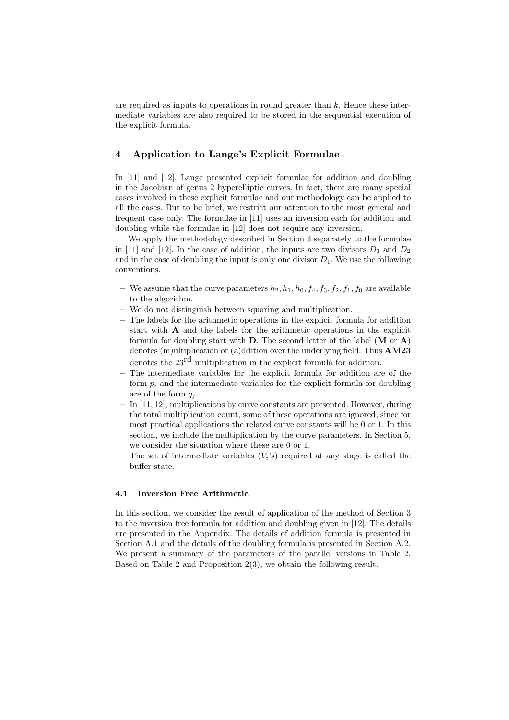are required as inputs to operations in round greater than  $k$ . Hence these intermediate variables are also required to be stored in the sequential execution of the explicit formula.

# 4 Application to Lange's Explicit Formulae

In [11] and [12], Lange presented explicit formulae for addition and doubling in the Jacobian of genus 2 hyperelliptic curves. In fact, there are many special cases involved in these explicit formulae and our methodology can be applied to all the cases. But to be brief, we restrict our attention to the most general and frequent case only. The formulae in [11] uses an inversion each for addition and doubling while the formulae in [12] does not require any inversion.

We apply the methodology described in Section 3 separately to the formulae in [11] and [12]. In the case of addition, the inputs are two divisors  $D_1$  and  $D_2$ and in the case of doubling the input is only one divisor  $D_1$ . We use the following conventions.

- We assume that the curve parameters  $h_2$ ,  $h_1$ ,  $h_0$ ,  $f_4$ ,  $f_3$ ,  $f_2$ ,  $f_1$ ,  $f_0$  are available to the algorithm.
- We do not distinguish between squaring and multiplication.
- The labels for the arithmetic operations in the explicit formula for addition start with A and the labels for the arithmetic operations in the explicit formula for doubling start with  $D$ . The second letter of the label (M or  $A$ ) denotes (m)ultiplication or (a)ddition over the underlying field. Thus  $AM23$ denotes the 23rd multiplication in the explicit formula for addition.
- The intermediate variables for the explicit formula for addition are of the form  $p_i$  and the intermediate variables for the explicit formula for doubling are of the form  $q_i$ .
- In [11, 12], multiplications by curve constants are presented. However, during the total multiplication count, some of these operations are ignored, since for most practical applications the related curve constants will be 0 or 1. In this section, we include the multiplication by the curve parameters. In Section 5, we consider the situation where these are 0 or 1.
- $-$  The set of intermediate variables  $(V_i)$  required at any stage is called the buffer state.

# 4.1 Inversion Free Arithmetic

In this section, we consider the result of application of the method of Section 3 to the inversion free formula for addition and doubling given in [12]. The details are presented in the Appendix. The details of addition formula is presented in Section A.1 and the details of the doubling formula is presented in Section A.2. We present a summary of the parameters of the parallel versions in Table 2. Based on Table 2 and Proposition 2(3), we obtain the following result.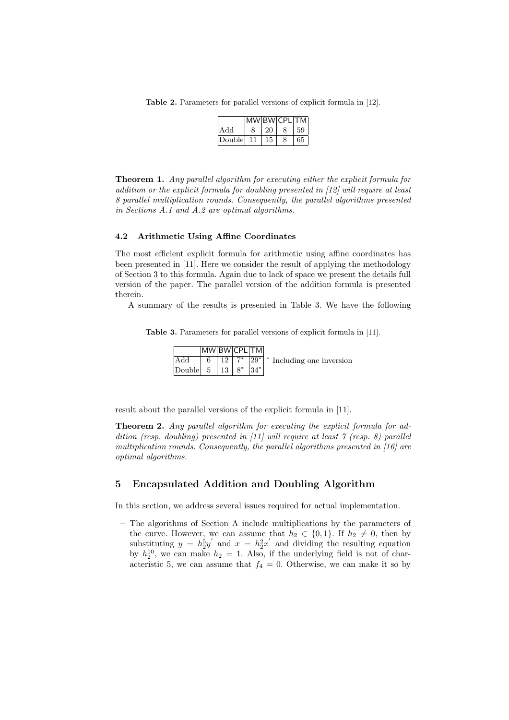Table 2. Parameters for parallel versions of explicit formula in [12].

|        |    | MW BW CPL TM |    |
|--------|----|--------------|----|
| lAdd   | 20 |              | 59 |
| Double | 15 |              | 65 |

Theorem 1. Any parallel algorithm for executing either the explicit formula for addition or the explicit formula for doubling presented in [12] will require at least 8 parallel multiplication rounds. Consequently, the parallel algorithms presented in Sections A.1 and A.2 are optimal algorithms.

#### 4.2 Arithmetic Using Affine Coordinates

The most efficient explicit formula for arithmetic using affine coordinates has been presented in [11]. Here we consider the result of applying the methodology of Section 3 to this formula. Again due to lack of space we present the details full version of the paper. The parallel version of the addition formula is presented therein.

A summary of the results is presented in Table 3. We have the following

Table 3. Parameters for parallel versions of explicit formula in [11].

|                                       |  | MW BW CPL TM |                                                     |
|---------------------------------------|--|--------------|-----------------------------------------------------|
| l Add                                 |  |              | 6 12 $7^*$ $\boxed{29^*}$ * Including one inversion |
| Double $5 \mid 13 \mid 8^* \mid 34^*$ |  |              |                                                     |

result about the parallel versions of the explicit formula in [11].

Theorem 2. Any parallel algorithm for executing the explicit formula for addition (resp. doubling) presented in  $[11]$  will require at least  $\gamma$  (resp. 8) parallel multiplication rounds. Consequently, the parallel algorithms presented in [16] are optimal algorithms.

# 5 Encapsulated Addition and Doubling Algorithm

In this section, we address several issues required for actual implementation.

– The algorithms of Section A include multiplications by the parameters of the curve. However, we can assume that  $h_2 \in \{0, 1\}$ . If  $h_2 \neq 0$ , then by substituting  $y = h_2^5 y'$  and  $x = h_2^2 x'$  and dividing the resulting equation by  $h_2^{10}$ , we can make  $h_2 = 1$ . Also, if the underlying field is not of characteristic 5, we can assume that  $f_4 = 0$ . Otherwise, we can make it so by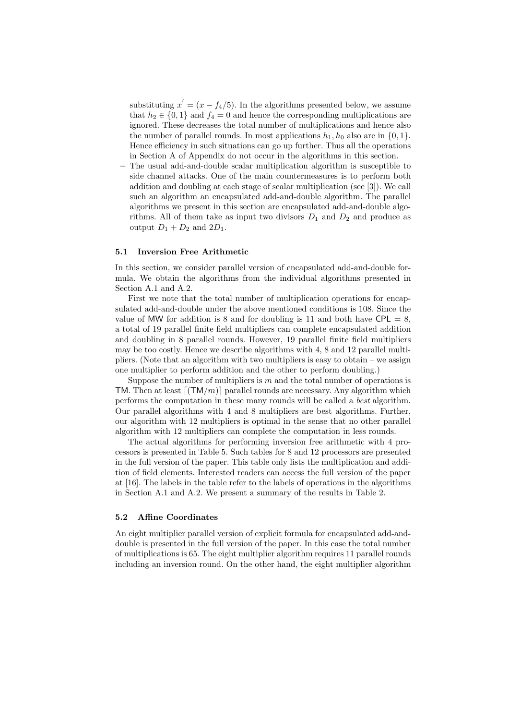substituting  $x' = (x - f_4/5)$ . In the algorithms presented below, we assume that  $h_2 \in \{0, 1\}$  and  $f_4 = 0$  and hence the corresponding multiplications are ignored. These decreases the total number of multiplications and hence also the number of parallel rounds. In most applications  $h_1, h_0$  also are in  $\{0, 1\}.$ Hence efficiency in such situations can go up further. Thus all the operations in Section A of Appendix do not occur in the algorithms in this section.

– The usual add-and-double scalar multiplication algorithm is susceptible to side channel attacks. One of the main countermeasures is to perform both addition and doubling at each stage of scalar multiplication (see [3]). We call such an algorithm an encapsulated add-and-double algorithm. The parallel algorithms we present in this section are encapsulated add-and-double algorithms. All of them take as input two divisors  $D_1$  and  $D_2$  and produce as output  $D_1 + D_2$  and  $2D_1$ .

#### 5.1 Inversion Free Arithmetic

In this section, we consider parallel version of encapsulated add-and-double formula. We obtain the algorithms from the individual algorithms presented in Section A.1 and A.2.

First we note that the total number of multiplication operations for encapsulated add-and-double under the above mentioned conditions is 108. Since the value of MW for addition is 8 and for doubling is 11 and both have  $CPL = 8$ , a total of 19 parallel finite field multipliers can complete encapsulated addition and doubling in 8 parallel rounds. However, 19 parallel finite field multipliers may be too costly. Hence we describe algorithms with 4, 8 and 12 parallel multipliers. (Note that an algorithm with two multipliers is easy to obtain – we assign one multiplier to perform addition and the other to perform doubling.)

Suppose the number of multipliers is  $m$  and the total number of operations is TM. Then at least  $\lceil (TM/m) \rceil$  parallel rounds are necessary. Any algorithm which performs the computation in these many rounds will be called a best algorithm. Our parallel algorithms with 4 and 8 multipliers are best algorithms. Further, our algorithm with 12 multipliers is optimal in the sense that no other parallel algorithm with 12 multipliers can complete the computation in less rounds.

The actual algorithms for performing inversion free arithmetic with 4 processors is presented in Table 5. Such tables for 8 and 12 processors are presented in the full version of the paper. This table only lists the multiplication and addition of field elements. Interested readers can access the full version of the paper at [16]. The labels in the table refer to the labels of operations in the algorithms in Section A.1 and A.2. We present a summary of the results in Table 2.

### 5.2 Affine Coordinates

An eight multiplier parallel version of explicit formula for encapsulated add-anddouble is presented in the full version of the paper. In this case the total number of multiplications is 65. The eight multiplier algorithm requires 11 parallel rounds including an inversion round. On the other hand, the eight multiplier algorithm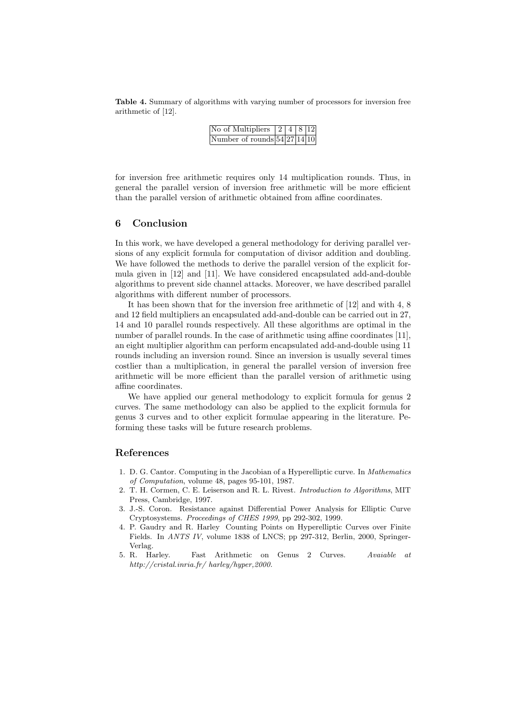Table 4. Summary of algorithms with varying number of processors for inversion free arithmetic of [12].

| No of Multipliers $\vert 2 \vert 4 \vert 8 \vert 12$ |  |  |
|------------------------------------------------------|--|--|
| Number of rounds $54 27 14 10$                       |  |  |

for inversion free arithmetic requires only 14 multiplication rounds. Thus, in general the parallel version of inversion free arithmetic will be more efficient than the parallel version of arithmetic obtained from affine coordinates.

# 6 Conclusion

In this work, we have developed a general methodology for deriving parallel versions of any explicit formula for computation of divisor addition and doubling. We have followed the methods to derive the parallel version of the explicit formula given in [12] and [11]. We have considered encapsulated add-and-double algorithms to prevent side channel attacks. Moreover, we have described parallel algorithms with different number of processors.

It has been shown that for the inversion free arithmetic of [12] and with 4, 8 and 12 field multipliers an encapsulated add-and-double can be carried out in 27, 14 and 10 parallel rounds respectively. All these algorithms are optimal in the number of parallel rounds. In the case of arithmetic using affine coordinates [11], an eight multiplier algorithm can perform encapsulated add-and-double using 11 rounds including an inversion round. Since an inversion is usually several times costlier than a multiplication, in general the parallel version of inversion free arithmetic will be more efficient than the parallel version of arithmetic using affine coordinates.

We have applied our general methodology to explicit formula for genus 2 curves. The same methodology can also be applied to the explicit formula for genus 3 curves and to other explicit formulae appearing in the literature. Peforming these tasks will be future research problems.

### References

- 1. D. G. Cantor. Computing in the Jacobian of a Hyperelliptic curve. In Mathematics of Computation, volume 48, pages 95-101, 1987.
- 2. T. H. Cormen, C. E. Leiserson and R. L. Rivest. Introduction to Algorithms, MIT Press, Cambridge, 1997.
- 3. J.-S. Coron. Resistance against Differential Power Analysis for Elliptic Curve Cryptosystems. Proceedings of CHES 1999, pp 292-302, 1999.
- 4. P. Gaudry and R. Harley Counting Points on Hyperelliptic Curves over Finite Fields. In ANTS IV, volume 1838 of LNCS; pp 297-312, Berlin, 2000, Springer-Verlag.
- 5. R. Harley. Fast Arithmetic on Genus 2 Curves. Avaiable at http://cristal.inria.fr/ harley/hyper,2000.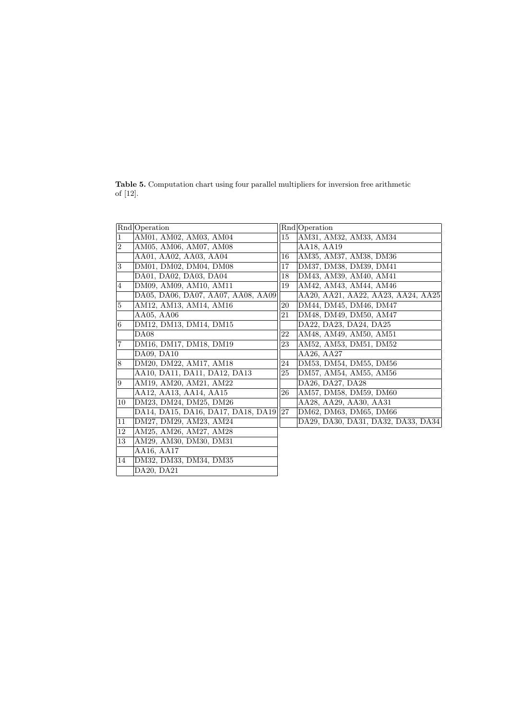Table 5. Computation chart using four parallel multipliers for inversion free arithmetic of  $[12]$ .

|                | Rnd Operation                      |    | Rnd Operation                      |  |  |
|----------------|------------------------------------|----|------------------------------------|--|--|
| $\vert$ 1      | AM01, AM02, AM03, AM04             | 15 | AM31, AM32, AM33, AM34             |  |  |
| $\overline{2}$ | AM05, AM06, AM07, AM08             |    | AA18, AA19                         |  |  |
|                | AA01, AA02, AA03, AA04             | 16 | AM35, AM37, AM38, DM36             |  |  |
| $\overline{3}$ | DM01, DM02, DM04, DM08             | 17 | DM37, DM38, DM39, DM41             |  |  |
|                | DA01, DA02, DA03, DA04             | 18 | DM43, AM39, AM40, AM41             |  |  |
| 4              | DM09, AM09, AM10, AM11             | 19 | AM42, AM43, AM44, AM46             |  |  |
|                | DA05, DA06, DA07, AA07, AA08, AA09 |    | AA20, AA21, AA22, AA23, AA24, AA25 |  |  |
| $\overline{5}$ | AM12, AM13, AM14, AM16             | 20 | DM44, DM45, DM46, DM47             |  |  |
|                | AA05, AA06                         | 21 | DM48, DM49, DM50, AM47             |  |  |
| $\overline{6}$ | DM12, DM13, DM14, DM15             |    | DA22, DA23, DA24, DA25             |  |  |
|                | DA08                               | 22 | AM48, AM49, AM50, AM51             |  |  |
| $\overline{7}$ | DM16, DM17, DM18, DM19             | 23 | AM52, AM53, DM51, DM52             |  |  |
|                | DA09, DA10                         |    | AA26, AA27                         |  |  |
| 8              | DM20, DM22, AM17, AM18             | 24 | DM53, DM54, DM55, DM56             |  |  |
|                | AA10, DA11, DA11, DA12, DA13       | 25 | DM57, AM54, AM55, AM56             |  |  |
| 9              | AM19, AM20, AM21, AM22             |    | DA26, DA27, DA28                   |  |  |
|                | AA12, AA13, AA14, AA15             | 26 | AM57, DM58, DM59, DM60             |  |  |
| 10             | DM23, DM24, DM25, DM26             |    | AA28, AA29, AA30, AA31             |  |  |
|                | DA14, DA15, DA16, DA17, DA18, DA19 | 27 | DM62, DM63, DM65, DM66             |  |  |
| 11             | DM27, DM29, AM23, AM24             |    | DA29, DA30, DA31, DA32, DA33, DA34 |  |  |
| 12             | AM25, AM26, AM27, AM28             |    |                                    |  |  |
| 13             | AM29, AM30, DM30, DM31             |    |                                    |  |  |
|                | AA16, AA17                         |    |                                    |  |  |
| 14             | DM32, DM33, DM34, DM35             |    |                                    |  |  |
|                | DA20, DA21                         |    |                                    |  |  |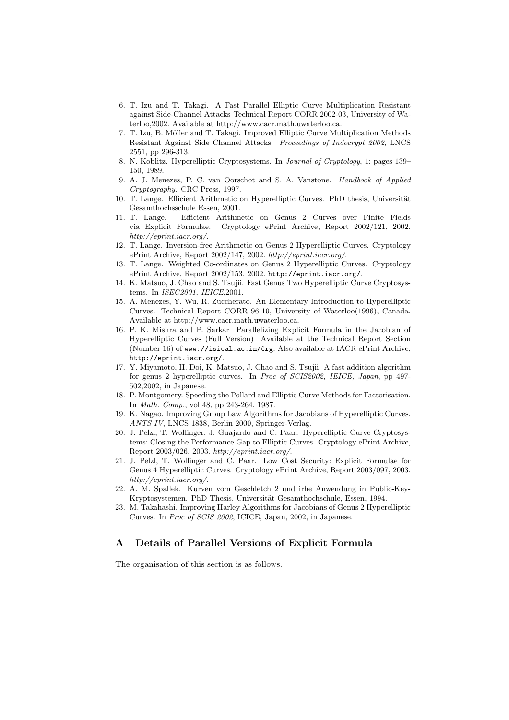- 6. T. Izu and T. Takagi. A Fast Parallel Elliptic Curve Multiplication Resistant against Side-Channel Attacks Technical Report CORR 2002-03, University of Waterloo,2002. Available at http://www.cacr.math.uwaterloo.ca.
- 7. T. Izu, B. Möller and T. Takagi. Improved Elliptic Curve Multiplication Methods Resistant Against Side Channel Attacks. Proceedings of Indocrypt 2002, LNCS 2551, pp 296-313.
- 8. N. Koblitz. Hyperelliptic Cryptosystems. In Journal of Cryptology, 1: pages 139– 150, 1989.
- 9. A. J. Menezes, P. C. van Oorschot and S. A. Vanstone. Handbook of Applied Cryptography. CRC Press, 1997.
- 10. T. Lange. Efficient Arithmetic on Hyperelliptic Curves. PhD thesis, Universität Gesamthochsschule Essen, 2001.
- 11. T. Lange. Efficient Arithmetic on Genus 2 Curves over Finite Fields via Explicit Formulae. Cryptology ePrint Archive, Report 2002/121, 2002. http://eprint.iacr.org/.
- 12. T. Lange. Inversion-free Arithmetic on Genus 2 Hyperelliptic Curves. Cryptology ePrint Archive, Report 2002/147, 2002. http://eprint.iacr.org/.
- 13. T. Lange. Weighted Co-ordinates on Genus 2 Hyperelliptic Curves. Cryptology ePrint Archive, Report 2002/153, 2002. http://eprint.iacr.org/.
- 14. K. Matsuo, J. Chao and S. Tsujii. Fast Genus Two Hyperelliptic Curve Cryptosystems. In ISEC2001, IEICE,2001.
- 15. A. Menezes, Y. Wu, R. Zuccherato. An Elementary Introduction to Hyperelliptic Curves. Technical Report CORR 96-19, University of Waterloo(1996), Canada. Available at http://www.cacr.math.uwaterloo.ca.
- 16. P. K. Mishra and P. Sarkar Parallelizing Explicit Formula in the Jacobian of Hyperelliptic Curves (Full Version) Available at the Technical Report Section (Number 16) of www://isical.ac.in/ $\tilde{c}$ rg. Also available at IACR ePrint Archive, http://eprint.iacr.org/.
- 17. Y. Miyamoto, H. Doi, K. Matsuo, J. Chao and S. Tsujii. A fast addition algorithm for genus 2 hyperelliptic curves. In Proc of SCIS2002, IEICE, Japan, pp 497- 502,2002, in Japanese.
- 18. P. Montgomery. Speeding the Pollard and Elliptic Curve Methods for Factorisation. In Math. Comp., vol 48, pp 243-264, 1987.
- 19. K. Nagao. Improving Group Law Algorithms for Jacobians of Hyperelliptic Curves. ANTS IV, LNCS 1838, Berlin 2000, Springer-Verlag.
- 20. J. Pelzl, T. Wollinger, J. Guajardo and C. Paar. Hyperelliptic Curve Cryptosystems: Closing the Performance Gap to Elliptic Curves. Cryptology ePrint Archive, Report 2003/026, 2003. http://eprint.iacr.org/.
- 21. J. Pelzl, T. Wollinger and C. Paar. Low Cost Security: Explicit Formulae for Genus 4 Hyperelliptic Curves. Cryptology ePrint Archive, Report 2003/097, 2003. http://eprint.iacr.org/.
- 22. A. M. Spallek. Kurven vom Geschletch 2 und irhe Anwendung in Public-Key-Kryptosystemen. PhD Thesis, Universität Gesamthochschule, Essen, 1994.
- 23. M. Takahashi. Improving Harley Algorithms for Jacobians of Genus 2 Hyperelliptic Curves. In Proc of SCIS 2002, ICICE, Japan, 2002, in Japanese.

# A Details of Parallel Versions of Explicit Formula

The organisation of this section is as follows.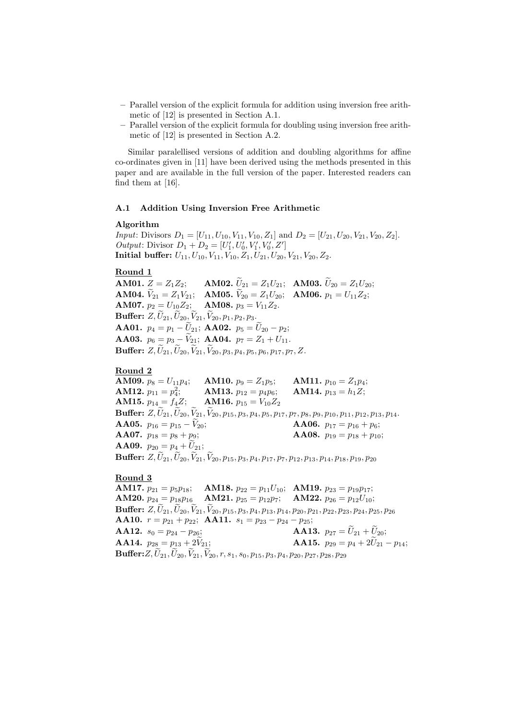- Parallel version of the explicit formula for addition using inversion free arithmetic of [12] is presented in Section A.1.
- Parallel version of the explicit formula for doubling using inversion free arithmetic of [12] is presented in Section A.2.

Similar paralellised versions of addition and doubling algorithms for affine co-ordinates given in [11] have been derived using the methods presented in this paper and are available in the full version of the paper. Interested readers can find them at [16].

#### A.1 Addition Using Inversion Free Arithmetic

#### Algorithm

*Input*: Divisors  $D_1 = [U_{11}, U_{10}, V_{11}, V_{10}, Z_1]$  and  $D_2 = [U_{21}, U_{20}, V_{21}, V_{20}, Z_2]$ . Output: Divisor  $D_1 + D_2 = [U'_1, U'_0, V'_1, V'_0, Z']$ Initial buffer:  $U_{11}$ ,  $U_{10}$ ,  $V_{11}$ ,  $V_{10}$ ,  $Z_1$ ,  $U_{21}$ ,  $U_{20}$ ,  $V_{21}$ ,  $V_{20}$ ,  $Z_2$ .

#### Round 1

AM01.  $Z = Z_1 Z_2$ ; AM02.  $\widetilde{U}_{21} = Z_1 U_{21}$ ; AM03.  $\widetilde{U}_{20} = Z_1 U_{20}$ ; AM04.  $\widetilde{V}_{21} = Z_1 V_{21}$ ; AM05.  $\widetilde{V}_{20} = Z_1 U_{20}$ ; AM06.  $p_1 = U_{11} Z_2$ ; AM07.  $p_2 = U_{10}Z_2$ ; AM08.  $p_3 = V_{11}Z_2$ . **Buffer:**  $Z, \widetilde{U}_{21}, \widetilde{U}_{20}, \widetilde{V}_{21}, \widetilde{V}_{20}, p_1, p_2, p_3.$ **AA01.**  $p_4 = p_1 - \widetilde{U}_{21}$ ; **AA02.**  $p_5 = \widetilde{U}_{20} - p_2$ ; AA03.  $p_6 = p_3 - \tilde{V}_{21}$ ; AA04.  $p_7 = Z_1 + U_{11}$ . Buffer:  $Z, \widetilde{U}_{21}, \widetilde{U}_{20}, \widetilde{V}_{21}, \widetilde{V}_{20}, p_3, p_4, p_5, p_6, p_{17}, p_7, Z.$ 

# Round 2

AM09.  $p_8 = U_{11}p_4$ ; AM10.  $p_9 = Z_1p_5$ ; AM11.  $p_{10} = Z_1p_4$ ; **AM12.**  $p_{11} = p_4^2$ ; **AM13.**  $p_{12} = p_4 p_6$ ; **AM14.**  $p_{13} = h_1 Z$ ; **AM15.**  $p_{14} = f_4 Z$ ; **AM16.**  $p_{15} = V_{10} Z_2$ **Buffer:**  $Z, \tilde{U}_{21}, \tilde{U}_{20}, \tilde{V}_{21}, \tilde{V}_{20}, p_{15}, p_{3}, p_{4}, p_{5}, p_{17}, p_{7}, p_{8}, p_{9}, p_{10}, p_{11}, p_{12}, p_{13}, p_{14}.$ **AA05.**  $p_{16} = p_{15} - \tilde{V}_{20}$ ;<br> **AA06.**  $p_{17} = p_{16} + p_6$ ;<br> **AA07.**  $p_{18} = p_8 + p_9$ ;<br> **AA08.**  $p_{19} = p_{18} + p_{10}$ AA08.  $p_{19} = p_{18} + p_{10};$ **AA09.**  $p_{20} = p_4 + \widetilde{U}_{21};$ **Buffer:**  $Z, \widetilde{U}_{21}, \widetilde{U}_{20}, \widetilde{V}_{21}, \widetilde{V}_{20}, p_{15}, p_{3}, p_{4}, p_{17}, p_{7}, p_{12}, p_{13}, p_{14}, p_{18}, p_{19}, p_{20}$ 

### Round 3

AM17.  $p_{21} = p_5p_{18}$ ; AM18.  $p_{22} = p_{11}U_{10}$ ; AM19.  $p_{23} = p_{19}p_{17}$ ; AM20.  $p_{24} = p_{18}p_{16}$  AM21.  $p_{25} = p_{12}p_{7}$ ; AM22.  $p_{26} = p_{12}U_{10}$ ; Buffer:  $Z, \widetilde{U}_{21}, \widetilde{U}_{20}, \widetilde{V}_{21}, \widetilde{V}_{20}, p_{15}, p_{3}, p_{4}, p_{13}, p_{14}, p_{20}, p_{21}, p_{22}, p_{23}, p_{24}, p_{25}, p_{26}$ AA10.  $r = p_{21} + p_{22}$ ; AA11.  $s_1 = p_{23} - p_{24} - p_{25}$ ; **AA12.**  $s_0 = p_{24} - p_{26}$ ; **AA13.**  $p_{27} = \widetilde{U}_{21} + \widetilde{U}_{20}$ ; **AA14.**  $p_{28} = p_{13} + 2\tilde{V}_{21}$ ; <br>**AA15.**  $p_{29} = p_4 + 2\tilde{U}_{21} - p_{14}$ ;  $\textbf{Buffer:} Z, \widetilde{U}_{21}, \widetilde{U}_{20}, \widetilde{V}_{21}, \widetilde{V}_{20}, r, s_1, s_0, p_{15}, p_3, p_4, p_{20}, p_{27}, p_{28}, p_{29}$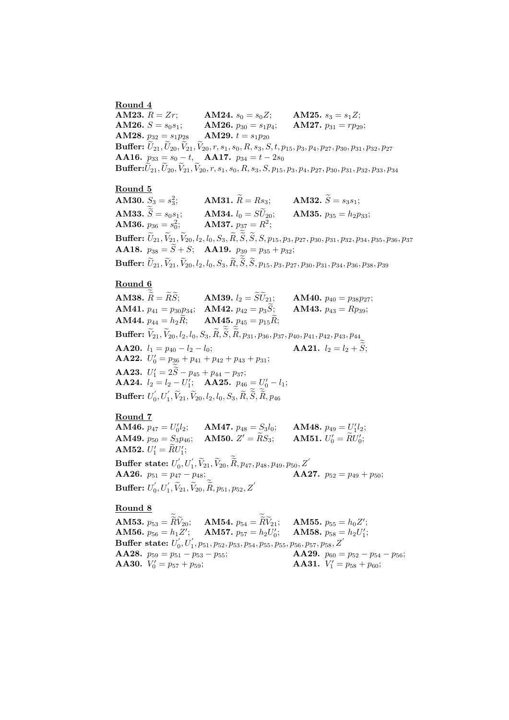Round 4 AM23.  $R = Zr$ ; AM24.  $s_0 = s_0Z$ ; AM25.  $s_3 = s_1Z$ ; AM26.  $S = s_0 s_1$ ; AM26.  $p_{30} = s_1 p_4$ ; AM27.  $p_{31} = r p_{29}$ ; AM28.  $p_{32} = s_1 p_{28}$  AM29.  $t = s_1 p_{20}$ Buffer:  $\widetilde{U}_{21}, \widetilde{U}_{20}, \widetilde{V}_{21}, \widetilde{V}_{20}, r, s_1, s_0, R, s_3, S, t, p_{15}, p_3, p_4, p_{27}, p_{30}, p_{31}, p_{32}, p_{27}$ **AA16.**  $p_{33} = s_0 - t$ , **AA17.**  $p_{34} = t - 2s_0$  $\textbf{Buffer:} \widetilde{U}_{21}, \widetilde{U}_{20}, \widetilde{V}_{21}, \widetilde{V}_{20}, r, s_1, s_0, R, s_3, S, p_{15}, p_{3}, p_{4}, p_{27}, p_{30}, p_{31}, p_{32}, p_{33}, p_{34}$ 

#### Round 5

**AM30.**  $S_3 = s_3^2$ **AM31.**  $\widetilde{R} = Rs_3$ ; **AM32.**  $\widetilde{S} = s_3s_1$ ; **AM33.**  $\widetilde{\widetilde{S}} = s_0 s_1;$  **AM34.**  $l_0 = S \widetilde{U}_{20};$  **AM35.**  $p_{35} = h_2 p_{33};$ **AM36.**  $p_{36} = s_0^2$ ; **AM37.**  $p_{37} = R^2$ ;  $\bf{Buffer:} \ \widetilde{U}_{21}, \widetilde{V}_{21}, \widetilde{V}_{20}, l_2, l_0, S_3, \widetilde{R}, \widetilde{\widetilde{S}}, \widetilde{S}, S, p_{15}, p_{3}, p_{27}, p_{30}, p_{31}, p_{32}, p_{34}, p_{35}, p_{36}, p_{37}$ **AA18.**  $p_{38} = \tilde{S} + S$ ; **AA19.**  $p_{39} = p_{35} + p_{32}$ ;

 $\bf{Buffer:} \ \widetilde{U}_{21}, \widetilde{V}_{21}, \widetilde{V}_{20}, l_2, l_0, S_3, \widetilde{R}, \widetilde{\widetilde{S}}, \widetilde{S}, p_{15}, p_{3}, p_{27}, p_{30}, p_{31}, p_{34}, p_{36}, p_{38}, p_{39}$ 

# Round 6

**AM38.**  $\widetilde{R} = \widetilde{R}\widetilde{S}$ ; **AM39.**  $l_2 = \widetilde{S}\widetilde{U}_{21}$ ; **AM40.**  $p_{40} = p_{38}p_{27}$ ; AM41.  $p_{41} = p_{30}p_{34}$ ; AM42.  $p_{42} = p_3\tilde{S}$ ; AM43.  $p_{43} = Rp_{39}$ ; **AM44.**  $p_{44} = h_2 \tilde{R}$ ; **AM45.**  $p_{45} = p_{15} \tilde{R}$ ;  $\bf{Buffer:} \ \widetilde{V}_{21}, \widetilde{V}_{20}, l_2, l_0, S_3, \widetilde{R}, \widetilde{\widetilde{S}}, \widetilde{\widetilde{R}}, p_{31}, p_{36}, p_{37}, p_{40}, p_{41}, p_{42}, p_{43}, p_{44}$ AA20.  $l_1 = p_{40} - l_2 - l_0;$  $\widetilde{\widetilde{S}}$ **AA22.**  $U'_0 = p_{36} + p_{41} + p_{42} + p_{43} + p_{31};$ **AA23.**  $U'_1 = 2\tilde{\widetilde{S}} - p_{45} + p_{44} - p_{37};$ **AA24.**  $l_2 = l_2 - U'_1$ ; **AA25.**  $p_{46} = U'_0 - l_1$ ;  $\mathbf{Buffer:}\ U_0^{'}, U_1^{'}, \widetilde{V}_{21}, \widetilde{V}_{20}, l_2, l_0, S_3, \widetilde{R}, \widetilde{\widetilde{S}}, \widetilde{\widetilde{R}}, p_{46}$ 

# Round 7

**AM46.**  $p_{47} = U_0' l_2$ ; **AM47.**  $p_{48} = S_3 l_0$ ; **AM48.**  $p_{49} = U_0$  $'_{1}l_{2};$ **AM49.**  $p_{50} = S_3p_{46}$ ; **AM50.**  $Z' = \widetilde{R}S_3$ ;  $\widetilde{R}S_3;\qquad \mathbf{AM51.}\ U_0'=\widetilde{R}U_0';$ AM52.  $U_1' = \widetilde{R}U_1';$  ${\bf Buffer \; state:} \; U_0^{'} , U_1^{'} , \widetilde{V}_{21}, \widetilde{V}_{20}, \widetilde{\widetilde{R}}, p_{47}, p_{48}, p_{49}, p_{50}, Z^{'}$ AA26.  $p_{51} = p_{47} - p_{48}$ ; AA27.  $p_{52} = p_{49} + p_{50}$ ;  $\mathbf{Buffer:} ~ U_0^{'}, U_1^{'}, \widetilde{V}_{21}, \widetilde{V}_{20}, \widetilde{\widetilde{R}}, p_{51}, p_{52}, Z^{'}$ 

# Round 8

 $\mathbf{AM53.}\; p_{53} = \widetilde{\widetilde{R}} \widetilde{V}_{20}; \quad \mathbf{AM54.}\; p_{54} = \widetilde{\widetilde{R}} \widetilde{V}_{21}; \quad \mathbf{AM55.}\; p_{55} = h_0 Z';$ **AM56.**  $p_{56} = h_1 Z'$ ; **AM57.**  $p_{57} = h_2 U'_0$ ; **AM58.**  $p_{58} = h_2 U$  $'_{1}$ ;  ${\bf Buffer \,\, state} \colon U'_0, U'_1, p_{51}, p_{52}, p_{53}, p_{54}, p_{55}, p_{55}, p_{56}, p_{57}, p_{58}, Z'$ **AA28.**  $p_{59} = p_{51} - p_{53} - p_{55}$ ;<br>**AA29.**  $p_{60} = p_{52} - p_{54} - p_{56}$ ; **AA30.**  $V'_0 = p_{57} + p_{59}$ ; **AA31.** *V*  $\zeta_1' = p_{58} + p_{60};$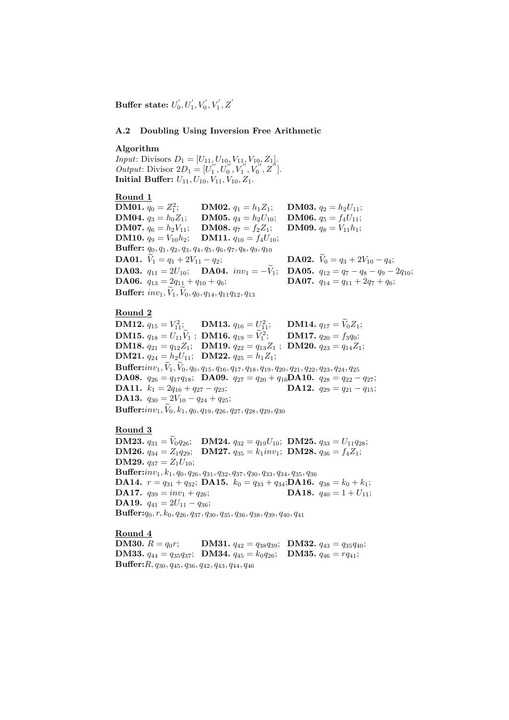${\bf Buffer \; state:} \; U_{0}^{\prime}, U_{1}^{\prime}, V_{0}^{\prime}, V_{1}^{\prime}, Z^{\prime}$ 

### A.2 Doubling Using Inversion Free Arithmetic

#### Algorithm

*Input*: Divisors  $D_1 = [U_{11}, U_{10}, V_{11}, V_{10}, Z_1]$ . Output: Divisor  $2D_1 = [U_1'', U_0'', V_1'', V_0'', Z'']$ . Initial Buffer:  $U_{11}$ ,  $U_{10}$ ,  $V_{11}$ ,  $V_{10}$ ,  $Z_1$ .

#### Round 1

**DM01.**  $q_0 = Z_1^2$ **DM02.**  $q_1 = h_1 Z_1$ ; **DM03.**  $q_2 = h_2 U_{11}$ ; **DM04.**  $q_3 = h_0 Z_1$ ; **DM05.**  $q_4 = h_2 U_{10}$ ; **DM06.**  $q_5 = f_4 U_{11}$ ; **DM07.**  $q_6 = h_2 V_{11}$ ; **DM08.**  $q_7 = f_2 Z_1$ ; **DM09.**  $q_8 = V_{11} h_1$ ; **DM10.**  $q_9 = V_{10}h_2$ ; **DM11.**  $q_{10} = f_4U_{10}$ ; Buffer:  $q_0, q_1, q_2, q_3, q_4, q_5, q_6, q_7, q_8, q_9, q_{10}$ **DA01.**  $\widetilde{V}_1 = q_1 + 2V_{11} - q_2;$  **DA02.**  $\widetilde{V}_0 = q_3 + 2V_{10} - q_4;$ **DA03.**  $q_{11} = 2U_{10}$ ; **DA04.**  $inv_1 = -\tilde{V}_1$ ; **DA05.**  $q_{12} = q_7 - q_8 - q_9 - 2q_{10}$ ; **DA06.**  $q_{13} = 2q_{11} + q_{10} + q_6;$  **DA07.**  $q_{14} = q_{11} + 2q_7 + q_6;$ Buffer:  $inv_1, \widetilde{V}_1, \widetilde{V}_0, q_0, q_{14}, q_{11}q_{12}, q_{13}$ 

### Round 2

**DM12.**  $q_{15} = V_{11}^2$ ; **DM13.**  $q_{16} = U_1^2$ **DM14.**  $q_{17} = \tilde{V}_0 Z_1$ ; **DM15.**  $q_{18} = U_{11} \widetilde{V}_1$  ; **DM16.**  $q_{19} = \widetilde{V}_1^2$ **DM17.**  $q_{20} = f_3 q_0$ ; **DM18.**  $q_{21} = q_{12}Z_1$ ; **DM19.**  $q_{22} = q_{13}Z_1$ ; **DM20.**  $q_{23} = q_{14}Z_1$ ; **DM21.**  $q_{24} = h_2 U_{11}$ ; **DM22.**  $q_{25} = h_1 Z_1$ ;  ${\bf Buffer:} inv_1, \bar{V}_1, \bar{V}_0, q_0, q_{15}, q_{16}, q_{17}, q_{18}, q_{19}, q_{20}, q_{21}, q_{22}, q_{23}, q_{24}, q_{25}$ **DA08.**  $q_{26} = q_{17}q_{18}$ ; **DA09.**  $q_{27} = q_{20} + q_{16}$ **DA10.**  $q_{28} = q_{22} - q_{27}$ ; **DA11.**  $k_1 = 2q_{16} + q_{27} - q_{23}$ ; **DA12.**  $q_{29} = q_{21} - q_{15}$ ; DA13.  $q_{30} = 2V_{10} - q_{24} + q_{25}$ ; Buffer: $inv_1, \tilde{V}_0, k_1, q_0, q_{19}, q_{26}, q_{27}, q_{28}, q_{29}, q_{30}$ 

# Round 3

**DM23.**  $q_{31} = \widetilde{V}_0 q_{26}$ ; **DM24.**  $q_{32} = q_{19}U_{10}$ ; **DM25.**  $q_{33} = U_{11}q_{28}$ ; **DM26.**  $q_{34} = Z_1 q_{29}$ ; **DM27.**  $q_{35} = k_1 inv_1$ ; **DM28.**  $q_{36} = f_4 Z_1$ ; DM29.  $q_{37} = Z_1U_{10};$ Buffer: $inv_1$ ,  $k_1$ ,  $q_0$ ,  $q_{26}$ ,  $q_{31}$ ,  $q_{32}$ ,  $q_{37}$ ,  $q_{30}$ ,  $q_{33}$ ,  $q_{34}$ ,  $q_{35}$ ,  $q_{36}$ **DA14.**  $r = q_{31} + q_{32}$ ; **DA15.**  $k_0 = q_{33} + q_{34}$ ; **DA16.**  $q_{38} = k_0 + k_1$ ; **DA17.**  $q_{39} = inv_1 + q_{26}$ ; **DA18.**  $q_{40} = 1 + U_{11}$ ; DA19.  $q_{41} = 2U_{11} - q_{36};$  $\mathbf{Buffer:} q_0, r, k_0, q_{26}, q_{37}, q_{30}, q_{35}, q_{36}, q_{38}, q_{39}, q_{40}, q_{41}$ 

Round 4

**DM30.**  $R = q_0 r$ ; **DM31.**  $q_{42} = q_{38} q_{39}$ ; **DM32.**  $q_{43} = q_{35} q_{40}$ ; **DM33.**  $q_{44} = q_{35}q_{37}$ ; **DM34.**  $q_{45} = k_0q_{26}$ ; **DM35.**  $q_{46} = r q_{41}$ ; Buffer:  $R, q_{30}, q_{45}, q_{36}, q_{42}, q_{43}, q_{44}, q_{46}$